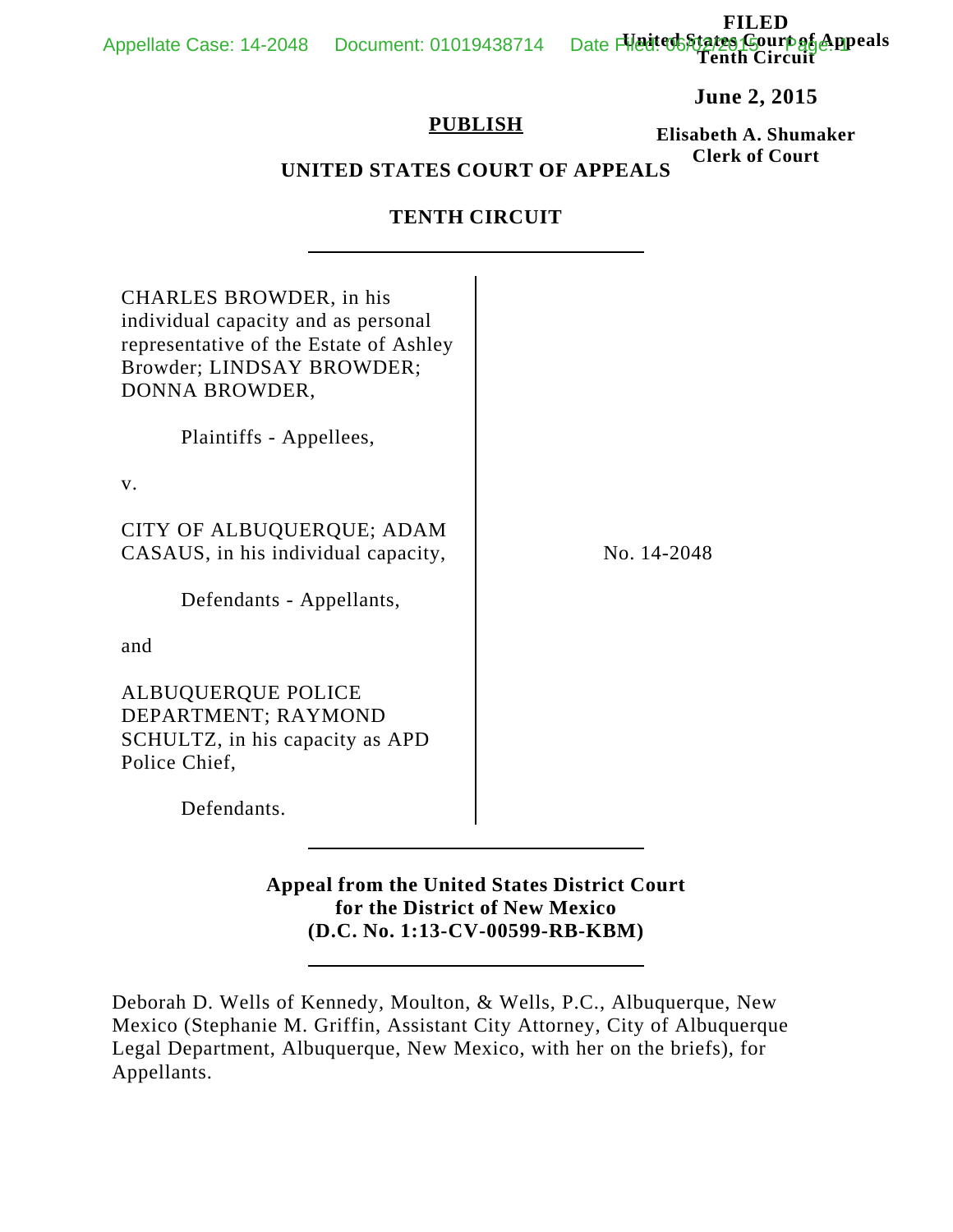**FILED United States Court of Appeals Tenth Circuit** Appellate Case: 14-2048 Document: 01019438714

**June 2, 2015**

### **PUBLISH**

**Elisabeth A. Shumaker Clerk of Court**

# **UNITED STATES COURT OF APPEALS**

### **TENTH CIRCUIT**

| CHARLES BROWDER, in his<br>individual capacity and as personal<br>representative of the Estate of Ashley<br>Browder; LINDSAY BROWDER;<br>DONNA BROWDER, |             |
|---------------------------------------------------------------------------------------------------------------------------------------------------------|-------------|
| Plaintiffs - Appellees,                                                                                                                                 |             |
| V.                                                                                                                                                      |             |
| CITY OF ALBUQUERQUE; ADAM<br>CASAUS, in his individual capacity,                                                                                        | No. 14-2048 |
| Defendants - Appellants,                                                                                                                                |             |
| and                                                                                                                                                     |             |
| <b>ALBUQUERQUE POLICE</b><br>DEPARTMENT; RAYMOND<br>SCHULTZ, in his capacity as APD<br>Police Chief,                                                    |             |
| Defendants.                                                                                                                                             |             |

# **Appeal from the United States District Court for the District of New Mexico (D.C. No. 1:13-CV-00599-RB-KBM)**

Deborah D. Wells of Kennedy, Moulton, & Wells, P.C., Albuquerque, New Mexico (Stephanie M. Griffin, Assistant City Attorney, City of Albuquerque Legal Department, Albuquerque, New Mexico, with her on the briefs), for Appellants.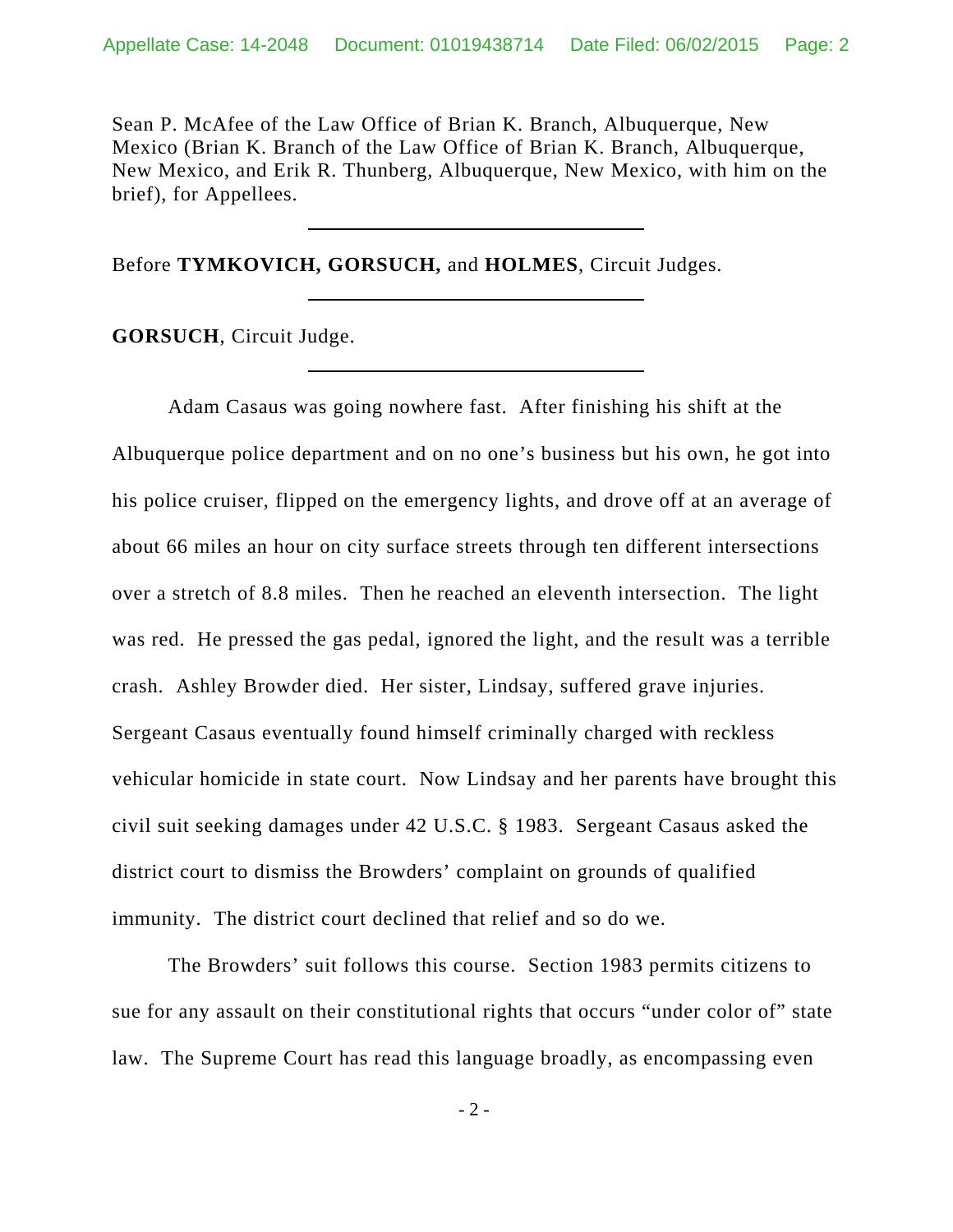Sean P. McAfee of the Law Office of Brian K. Branch, Albuquerque, New Mexico (Brian K. Branch of the Law Office of Brian K. Branch, Albuquerque, New Mexico, and Erik R. Thunberg, Albuquerque, New Mexico, with him on the brief), for Appellees.

Before **TYMKOVICH, GORSUCH,** and **HOLMES**, Circuit Judges.

**GORSUCH**, Circuit Judge.

Adam Casaus was going nowhere fast. After finishing his shift at the Albuquerque police department and on no one's business but his own, he got into his police cruiser, flipped on the emergency lights, and drove off at an average of about 66 miles an hour on city surface streets through ten different intersections over a stretch of 8.8 miles. Then he reached an eleventh intersection. The light was red. He pressed the gas pedal, ignored the light, and the result was a terrible crash. Ashley Browder died. Her sister, Lindsay, suffered grave injuries. Sergeant Casaus eventually found himself criminally charged with reckless vehicular homicide in state court. Now Lindsay and her parents have brought this civil suit seeking damages under 42 U.S.C. § 1983. Sergeant Casaus asked the district court to dismiss the Browders' complaint on grounds of qualified immunity. The district court declined that relief and so do we.

The Browders' suit follows this course. Section 1983 permits citizens to sue for any assault on their constitutional rights that occurs "under color of" state law. The Supreme Court has read this language broadly, as encompassing even

- 2 -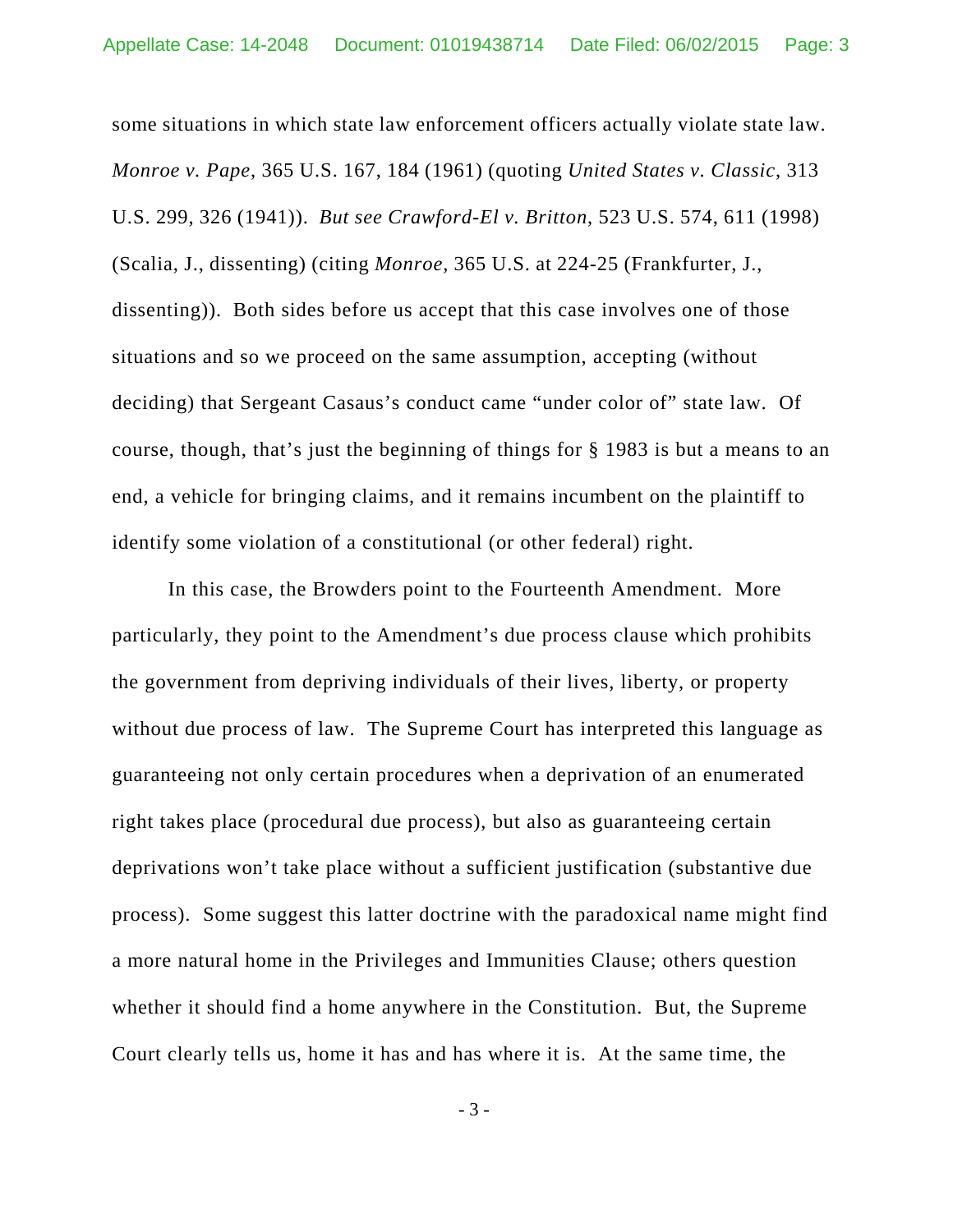some situations in which state law enforcement officers actually violate state law. *Monroe v. Pape*, 365 U.S. 167, 184 (1961) (quoting *United States v. Classic*, 313 U.S. 299, 326 (1941)). *But see Crawford-El v. Britton*, 523 U.S. 574, 611 (1998) (Scalia, J., dissenting) (citing *Monroe*, 365 U.S. at 224-25 (Frankfurter, J., dissenting)). Both sides before us accept that this case involves one of those situations and so we proceed on the same assumption, accepting (without deciding) that Sergeant Casaus's conduct came "under color of" state law. Of course, though, that's just the beginning of things for § 1983 is but a means to an end, a vehicle for bringing claims, and it remains incumbent on the plaintiff to identify some violation of a constitutional (or other federal) right.

In this case, the Browders point to the Fourteenth Amendment. More particularly, they point to the Amendment's due process clause which prohibits the government from depriving individuals of their lives, liberty, or property without due process of law. The Supreme Court has interpreted this language as guaranteeing not only certain procedures when a deprivation of an enumerated right takes place (procedural due process), but also as guaranteeing certain deprivations won't take place without a sufficient justification (substantive due process). Some suggest this latter doctrine with the paradoxical name might find a more natural home in the Privileges and Immunities Clause; others question whether it should find a home anywhere in the Constitution. But, the Supreme Court clearly tells us, home it has and has where it is. At the same time, the

- 3 -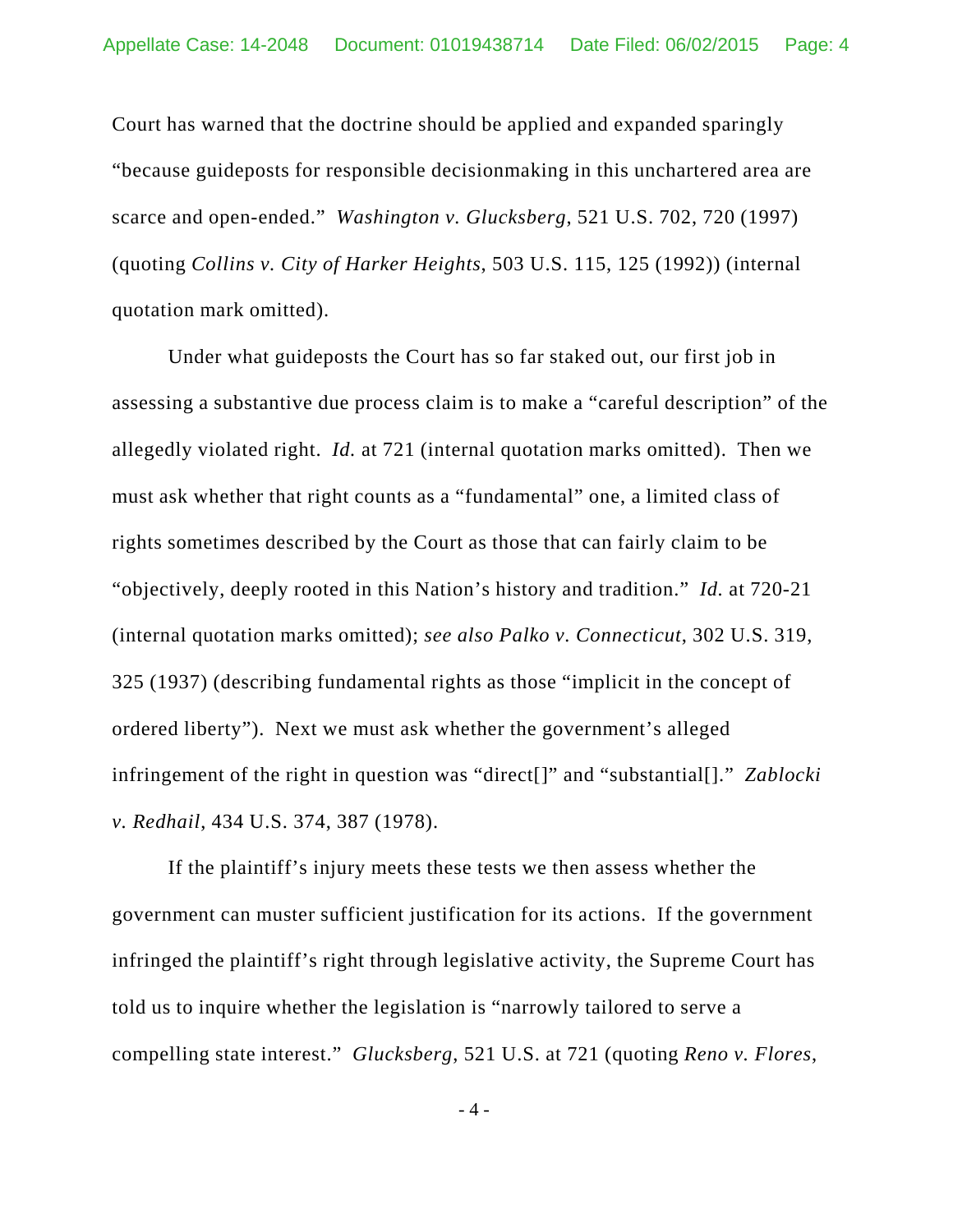Court has warned that the doctrine should be applied and expanded sparingly "because guideposts for responsible decisionmaking in this unchartered area are scarce and open-ended." *Washington v. Glucksberg*, 521 U.S. 702, 720 (1997) (quoting *Collins v. City of Harker Heights*, 503 U.S. 115, 125 (1992)) (internal quotation mark omitted).

Under what guideposts the Court has so far staked out, our first job in assessing a substantive due process claim is to make a "careful description" of the allegedly violated right. *Id.* at 721 (internal quotation marks omitted). Then we must ask whether that right counts as a "fundamental" one, a limited class of rights sometimes described by the Court as those that can fairly claim to be "objectively, deeply rooted in this Nation's history and tradition." *Id.* at 720-21 (internal quotation marks omitted); *see also Palko v. Connecticut*, 302 U.S. 319, 325 (1937) (describing fundamental rights as those "implicit in the concept of ordered liberty"). Next we must ask whether the government's alleged infringement of the right in question was "direct[]" and "substantial[]." *Zablocki v. Redhail*, 434 U.S. 374, 387 (1978).

If the plaintiff's injury meets these tests we then assess whether the government can muster sufficient justification for its actions. If the government infringed the plaintiff's right through legislative activity, the Supreme Court has told us to inquire whether the legislation is "narrowly tailored to serve a compelling state interest." *Glucksberg*, 521 U.S. at 721 (quoting *Reno v. Flores*,

- 4 -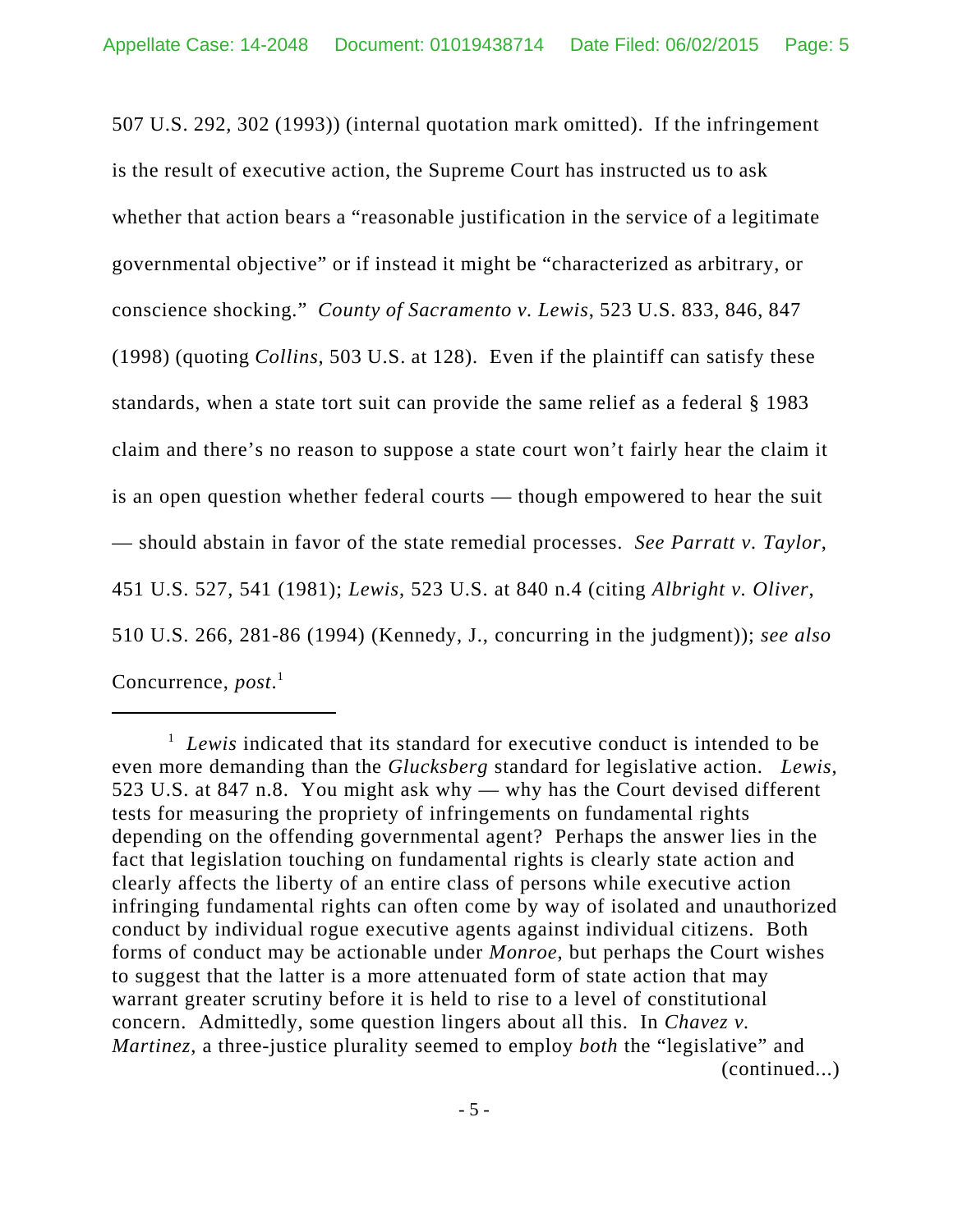507 U.S. 292, 302 (1993)) (internal quotation mark omitted). If the infringement is the result of executive action, the Supreme Court has instructed us to ask whether that action bears a "reasonable justification in the service of a legitimate governmental objective" or if instead it might be "characterized as arbitrary, or conscience shocking." *County of Sacramento v. Lewis*, 523 U.S. 833, 846, 847 (1998) (quoting *Collins*, 503 U.S. at 128). Even if the plaintiff can satisfy these standards, when a state tort suit can provide the same relief as a federal § 1983 claim and there's no reason to suppose a state court won't fairly hear the claim it is an open question whether federal courts — though empowered to hear the suit — should abstain in favor of the state remedial processes. *See Parratt v. Taylor*, 451 U.S. 527, 541 (1981); *Lewis*, 523 U.S. at 840 n.4 (citing *Albright v. Oliver*, 510 U.S. 266, 281-86 (1994) (Kennedy, J., concurring in the judgment)); *see also* Concurrence, *post*. 1

<sup>&</sup>lt;sup>1</sup> Lewis indicated that its standard for executive conduct is intended to be even more demanding than the *Glucksberg* standard for legislative action. *Lewis*, 523 U.S. at 847 n.8. You might ask why — why has the Court devised different tests for measuring the propriety of infringements on fundamental rights depending on the offending governmental agent? Perhaps the answer lies in the fact that legislation touching on fundamental rights is clearly state action and clearly affects the liberty of an entire class of persons while executive action infringing fundamental rights can often come by way of isolated and unauthorized conduct by individual rogue executive agents against individual citizens. Both forms of conduct may be actionable under *Monroe*, but perhaps the Court wishes to suggest that the latter is a more attenuated form of state action that may warrant greater scrutiny before it is held to rise to a level of constitutional concern. Admittedly, some question lingers about all this. In *Chavez v. Martinez*, a three-justice plurality seemed to employ *both* the "legislative" and (continued...)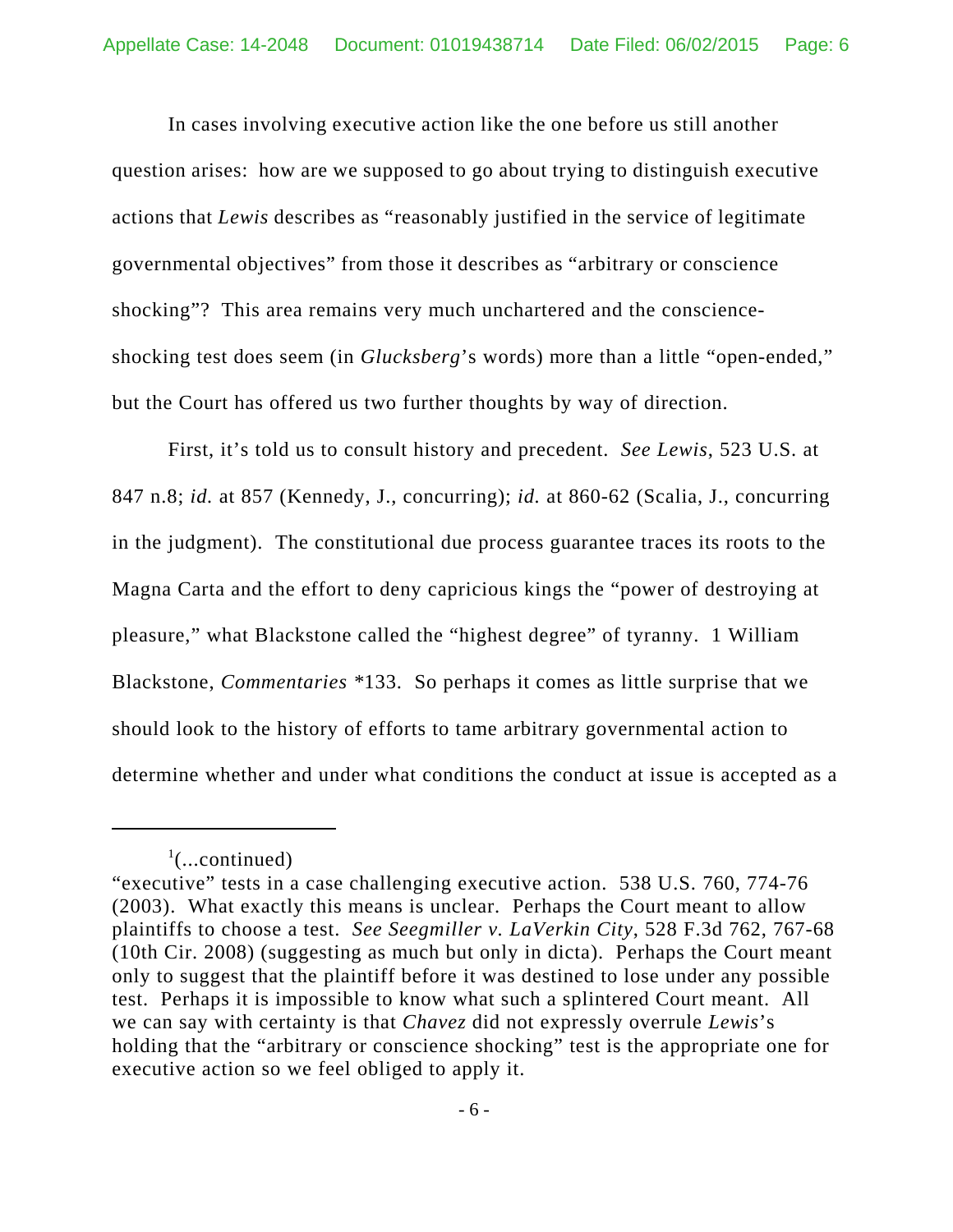In cases involving executive action like the one before us still another question arises: how are we supposed to go about trying to distinguish executive actions that *Lewis* describes as "reasonably justified in the service of legitimate governmental objectives" from those it describes as "arbitrary or conscience shocking"? This area remains very much unchartered and the conscienceshocking test does seem (in *Glucksberg*'s words) more than a little "open-ended," but the Court has offered us two further thoughts by way of direction.

First, it's told us to consult history and precedent. *See Lewis*, 523 U.S. at 847 n.8; *id.* at 857 (Kennedy, J., concurring); *id.* at 860-62 (Scalia, J., concurring in the judgment). The constitutional due process guarantee traces its roots to the Magna Carta and the effort to deny capricious kings the "power of destroying at pleasure," what Blackstone called the "highest degree" of tyranny. 1 William Blackstone, *Commentaries \**133. So perhaps it comes as little surprise that we should look to the history of efforts to tame arbitrary governmental action to determine whether and under what conditions the conduct at issue is accepted as a

 $\cdot$ <sup>1</sup>(...continued)

<sup>&</sup>quot;executive" tests in a case challenging executive action. 538 U.S. 760, 774-76 (2003). What exactly this means is unclear. Perhaps the Court meant to allow plaintiffs to choose a test. *See Seegmiller v. LaVerkin City*, 528 F.3d 762, 767-68 (10th Cir. 2008) (suggesting as much but only in dicta). Perhaps the Court meant only to suggest that the plaintiff before it was destined to lose under any possible test. Perhaps it is impossible to know what such a splintered Court meant. All we can say with certainty is that *Chavez* did not expressly overrule *Lewis*'s holding that the "arbitrary or conscience shocking" test is the appropriate one for executive action so we feel obliged to apply it.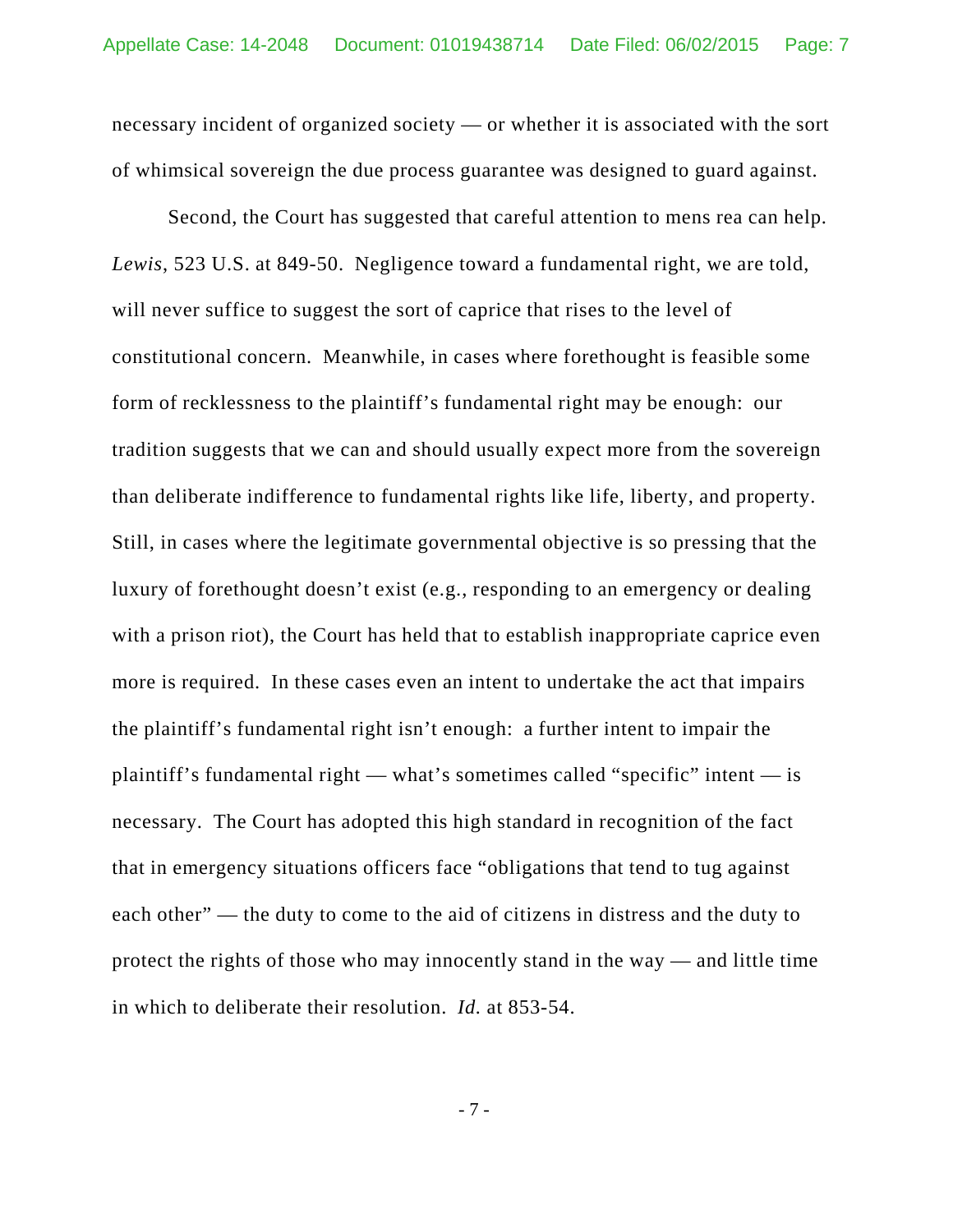necessary incident of organized society — or whether it is associated with the sort of whimsical sovereign the due process guarantee was designed to guard against.

Second, the Court has suggested that careful attention to mens rea can help. *Lewis*, 523 U.S. at 849-50. Negligence toward a fundamental right, we are told, will never suffice to suggest the sort of caprice that rises to the level of constitutional concern. Meanwhile, in cases where forethought is feasible some form of recklessness to the plaintiff's fundamental right may be enough: our tradition suggests that we can and should usually expect more from the sovereign than deliberate indifference to fundamental rights like life, liberty, and property. Still, in cases where the legitimate governmental objective is so pressing that the luxury of forethought doesn't exist (e.g., responding to an emergency or dealing with a prison riot), the Court has held that to establish inappropriate caprice even more is required. In these cases even an intent to undertake the act that impairs the plaintiff's fundamental right isn't enough: a further intent to impair the plaintiff's fundamental right — what's sometimes called "specific" intent — is necessary. The Court has adopted this high standard in recognition of the fact that in emergency situations officers face "obligations that tend to tug against each other" — the duty to come to the aid of citizens in distress and the duty to protect the rights of those who may innocently stand in the way — and little time in which to deliberate their resolution. *Id.* at 853-54.

- 7 -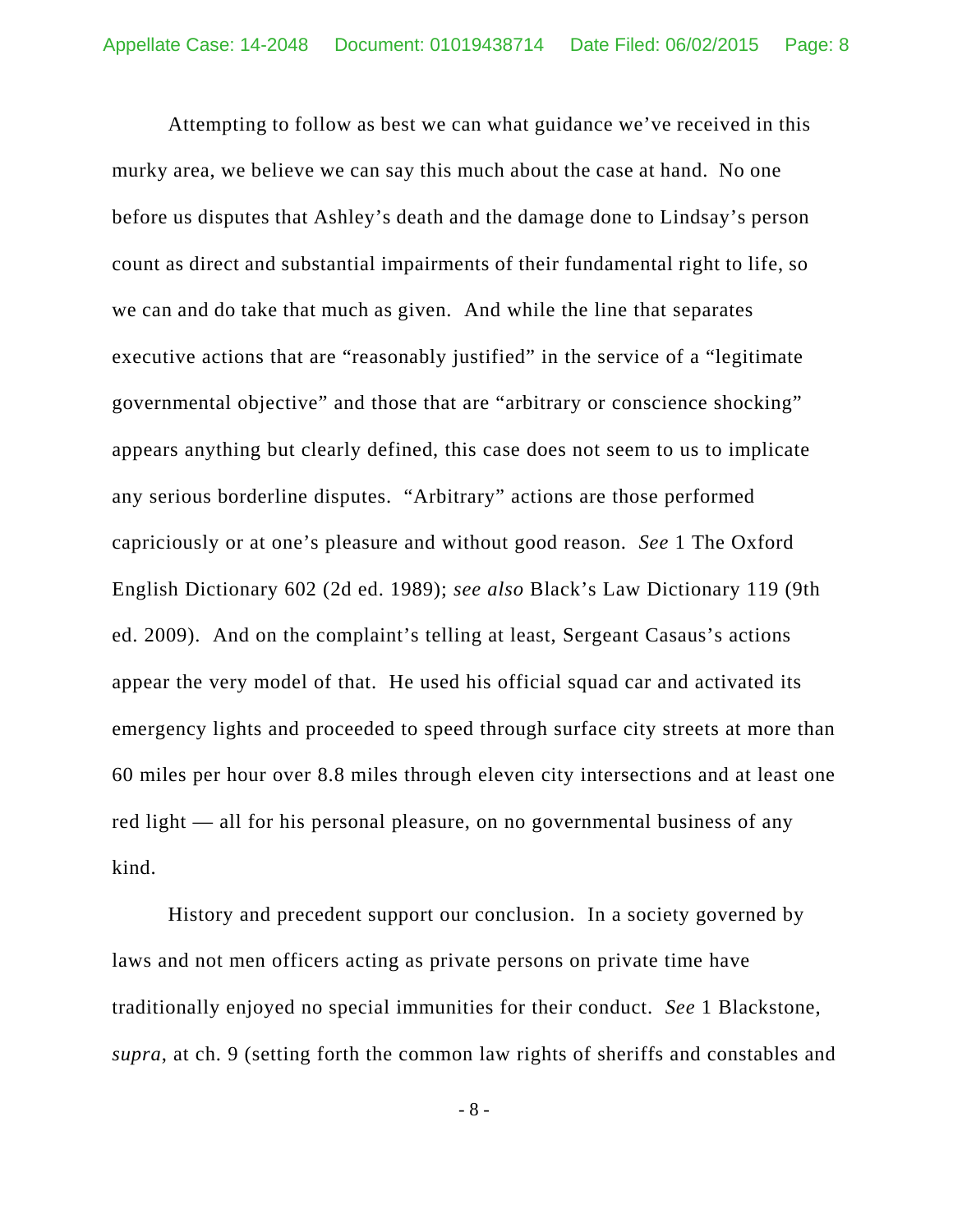Attempting to follow as best we can what guidance we've received in this murky area, we believe we can say this much about the case at hand. No one before us disputes that Ashley's death and the damage done to Lindsay's person count as direct and substantial impairments of their fundamental right to life, so we can and do take that much as given.And while the line that separates executive actions that are "reasonably justified" in the service of a "legitimate governmental objective" and those that are "arbitrary or conscience shocking" appears anything but clearly defined, this case does not seem to us to implicate any serious borderline disputes. "Arbitrary" actions are those performed capriciously or at one's pleasure and without good reason. *See* 1 The Oxford English Dictionary 602 (2d ed. 1989); *see also* Black's Law Dictionary 119 (9th ed. 2009). And on the complaint's telling at least, Sergeant Casaus's actions appear the very model of that. He used his official squad car and activated its emergency lights and proceeded to speed through surface city streets at more than 60 miles per hour over 8.8 miles through eleven city intersections and at least one red light — all for his personal pleasure, on no governmental business of any kind.

History and precedent support our conclusion. In a society governed by laws and not men officers acting as private persons on private time have traditionally enjoyed no special immunities for their conduct. *See* 1 Blackstone, *supra*, at ch. 9 (setting forth the common law rights of sheriffs and constables and

- 8 -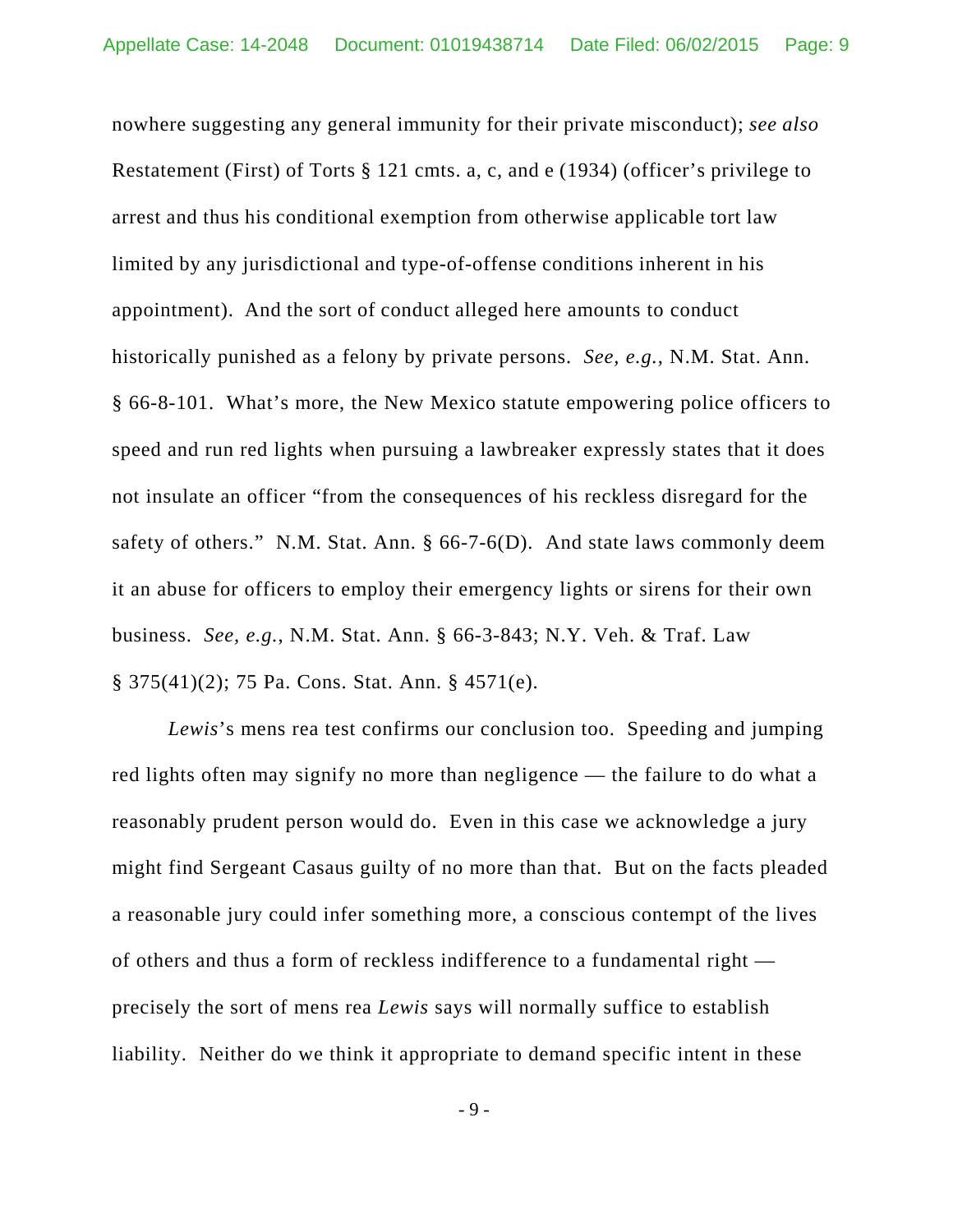nowhere suggesting any general immunity for their private misconduct); *see also* Restatement (First) of Torts § 121 cmts. a, c, and e (1934) (officer's privilege to arrest and thus his conditional exemption from otherwise applicable tort law limited by any jurisdictional and type-of-offense conditions inherent in his appointment). And the sort of conduct alleged here amounts to conduct historically punished as a felony by private persons. *See, e.g.*, N.M. Stat. Ann. § 66-8-101. What's more, the New Mexico statute empowering police officers to speed and run red lights when pursuing a lawbreaker expressly states that it does not insulate an officer "from the consequences of his reckless disregard for the safety of others." N.M. Stat. Ann. § 66-7-6(D). And state laws commonly deem it an abuse for officers to employ their emergency lights or sirens for their own business. *See, e.g.*, N.M. Stat. Ann. § 66-3-843; N.Y. Veh. & Traf. Law § 375(41)(2); 75 Pa. Cons. Stat. Ann. § 4571(e).

*Lewis*'s mens rea test confirms our conclusion too. Speeding and jumping red lights often may signify no more than negligence — the failure to do what a reasonably prudent person would do. Even in this case we acknowledge a jury might find Sergeant Casaus guilty of no more than that. But on the facts pleaded a reasonable jury could infer something more, a conscious contempt of the lives of others and thus a form of reckless indifference to a fundamental right precisely the sort of mens rea *Lewis* says will normally suffice to establish liability. Neither do we think it appropriate to demand specific intent in these

- 9 -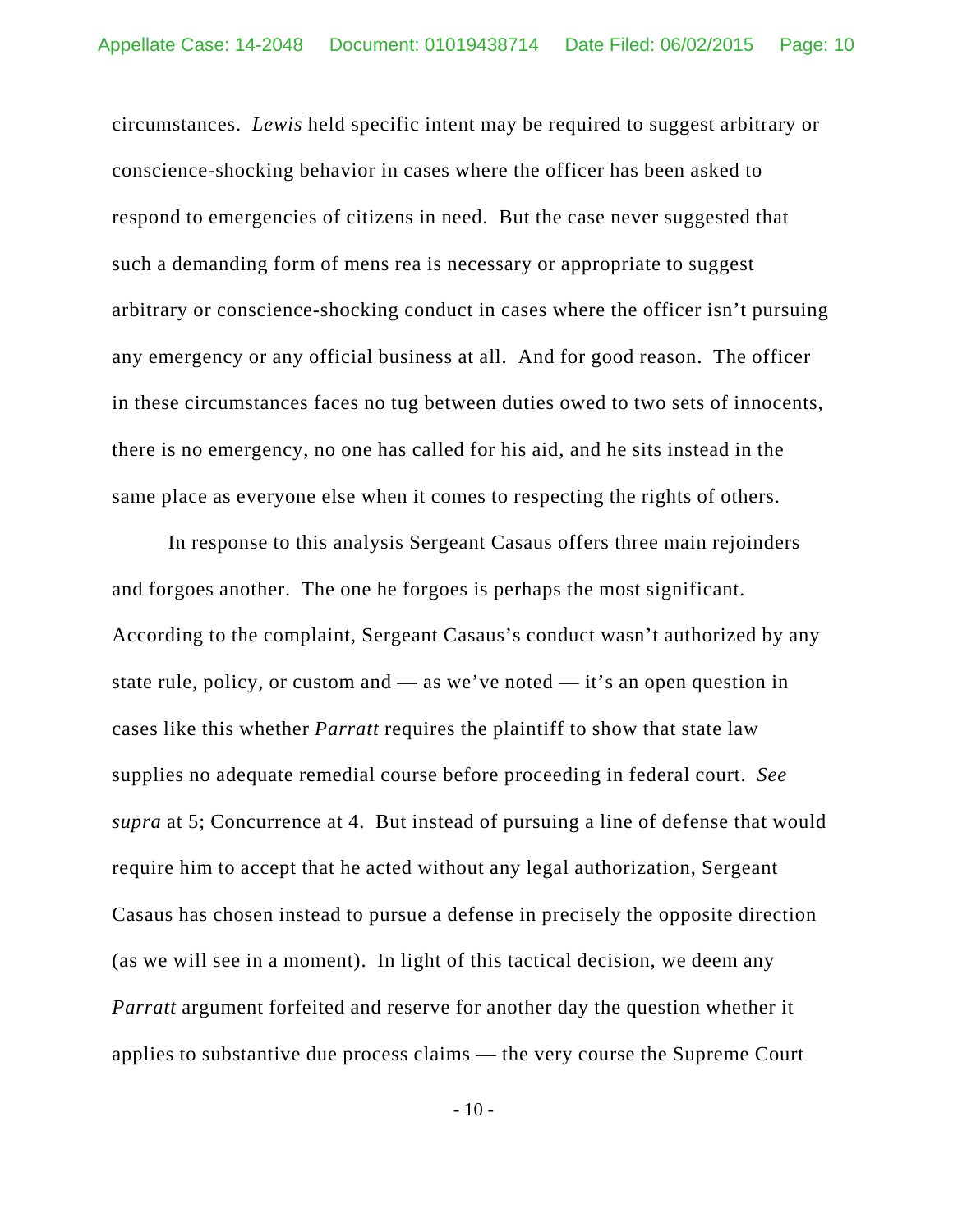circumstances. *Lewis* held specific intent may be required to suggest arbitrary or conscience-shocking behavior in cases where the officer has been asked to respond to emergencies of citizens in need. But the case never suggested that such a demanding form of mens rea is necessary or appropriate to suggest arbitrary or conscience-shocking conduct in cases where the officer isn't pursuing any emergency or any official business at all. And for good reason. The officer in these circumstances faces no tug between duties owed to two sets of innocents, there is no emergency, no one has called for his aid, and he sits instead in the same place as everyone else when it comes to respecting the rights of others.

In response to this analysis Sergeant Casaus offers three main rejoinders and forgoes another. The one he forgoes is perhaps the most significant. According to the complaint, Sergeant Casaus's conduct wasn't authorized by any state rule, policy, or custom and — as we've noted — it's an open question in cases like this whether *Parratt* requires the plaintiff to show that state law supplies no adequate remedial course before proceeding in federal court. *See supra* at 5; Concurrence at 4. But instead of pursuing a line of defense that would require him to accept that he acted without any legal authorization, Sergeant Casaus has chosen instead to pursue a defense in precisely the opposite direction (as we will see in a moment). In light of this tactical decision, we deem any *Parratt* argument forfeited and reserve for another day the question whether it applies to substantive due process claims — the very course the Supreme Court

- 10 -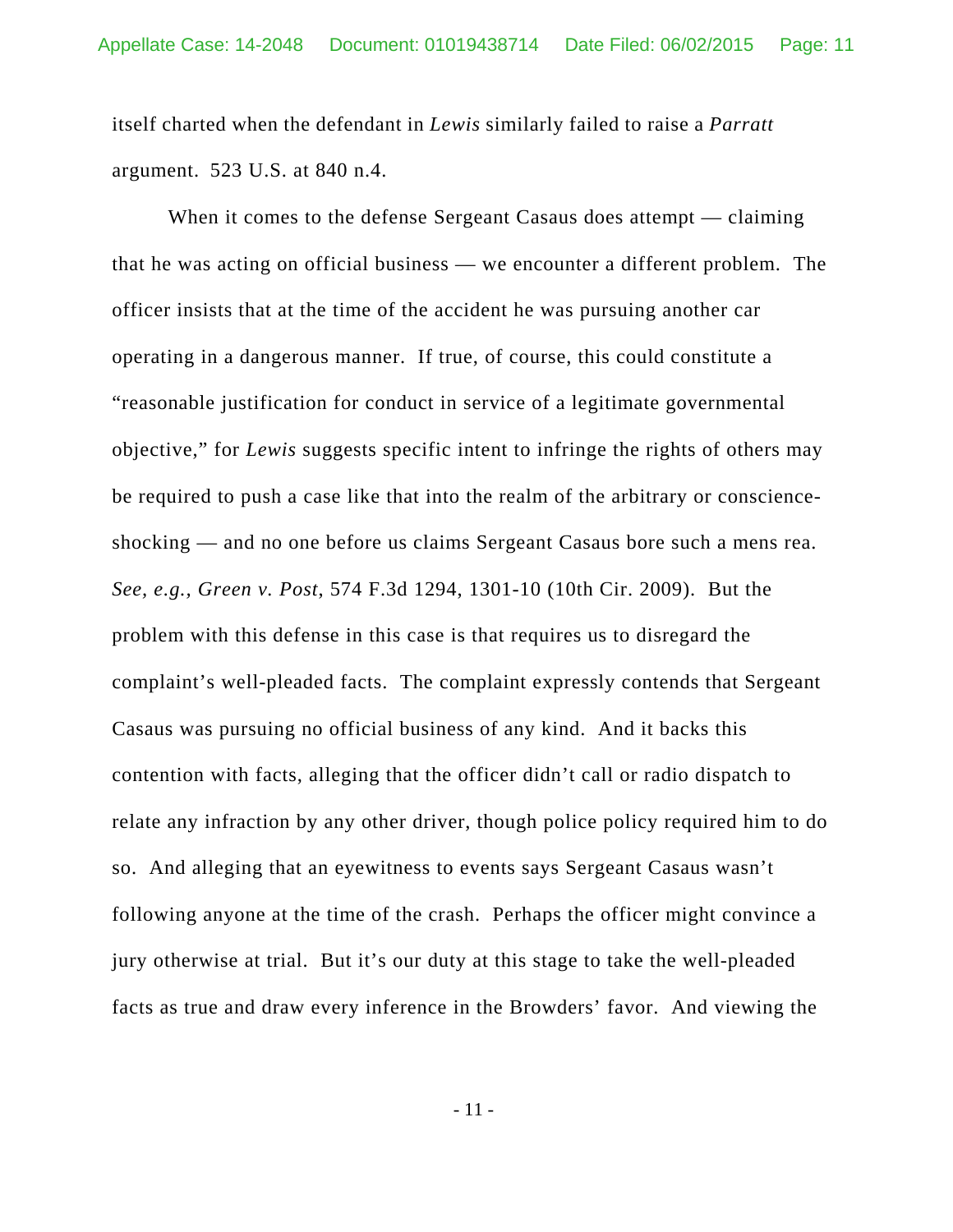itself charted when the defendant in *Lewis* similarly failed to raise a *Parratt* argument. 523 U.S. at 840 n.4.

When it comes to the defense Sergeant Casaus does attempt — claiming that he was acting on official business — we encounter a different problem. The officer insists that at the time of the accident he was pursuing another car operating in a dangerous manner. If true, of course, this could constitute a "reasonable justification for conduct in service of a legitimate governmental objective," for *Lewis* suggests specific intent to infringe the rights of others may be required to push a case like that into the realm of the arbitrary or conscienceshocking — and no one before us claims Sergeant Casaus bore such a mens rea. *See, e.g., Green v. Post*, 574 F.3d 1294, 1301-10 (10th Cir. 2009). But the problem with this defense in this case is that requires us to disregard the complaint's well-pleaded facts. The complaint expressly contends that Sergeant Casaus was pursuing no official business of any kind. And it backs this contention with facts, alleging that the officer didn't call or radio dispatch to relate any infraction by any other driver, though police policy required him to do so. And alleging that an eyewitness to events says Sergeant Casaus wasn't following anyone at the time of the crash. Perhaps the officer might convince a jury otherwise at trial. But it's our duty at this stage to take the well-pleaded facts as true and draw every inference in the Browders' favor. And viewing the

- 11 -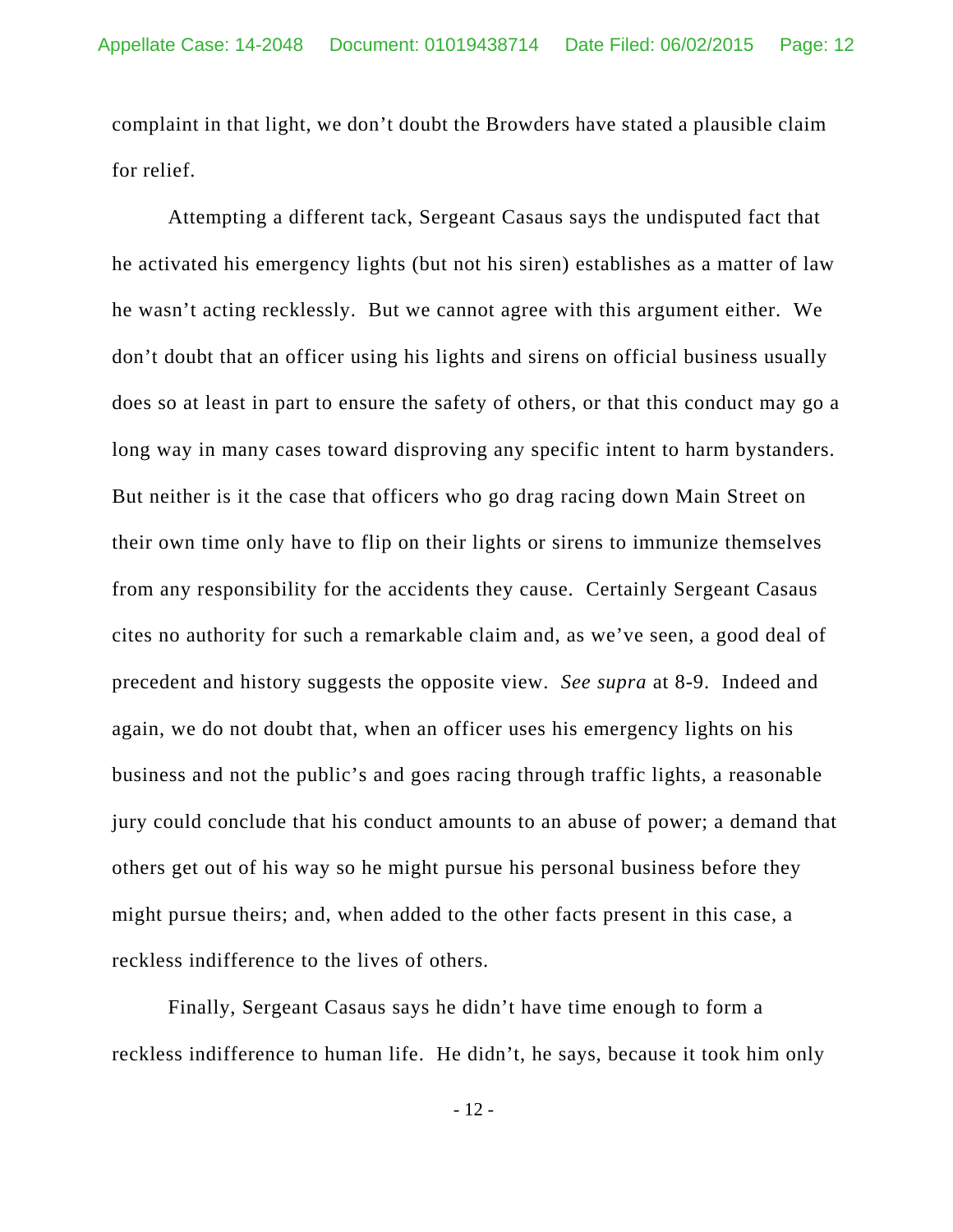complaint in that light, we don't doubt the Browders have stated a plausible claim for relief.

Attempting a different tack, Sergeant Casaus says the undisputed fact that he activated his emergency lights (but not his siren) establishes as a matter of law he wasn't acting recklessly. But we cannot agree with this argument either. We don't doubt that an officer using his lights and sirens on official business usually does so at least in part to ensure the safety of others, or that this conduct may go a long way in many cases toward disproving any specific intent to harm bystanders. But neither is it the case that officers who go drag racing down Main Street on their own time only have to flip on their lights or sirens to immunize themselves from any responsibility for the accidents they cause. Certainly Sergeant Casaus cites no authority for such a remarkable claim and, as we've seen, a good deal of precedent and history suggests the opposite view. *See supra* at 8-9. Indeed and again, we do not doubt that, when an officer uses his emergency lights on his business and not the public's and goes racing through traffic lights, a reasonable jury could conclude that his conduct amounts to an abuse of power; a demand that others get out of his way so he might pursue his personal business before they might pursue theirs; and, when added to the other facts present in this case, a reckless indifference to the lives of others.

Finally, Sergeant Casaus says he didn't have time enough to form a reckless indifference to human life. He didn't, he says, because it took him only

- 12 -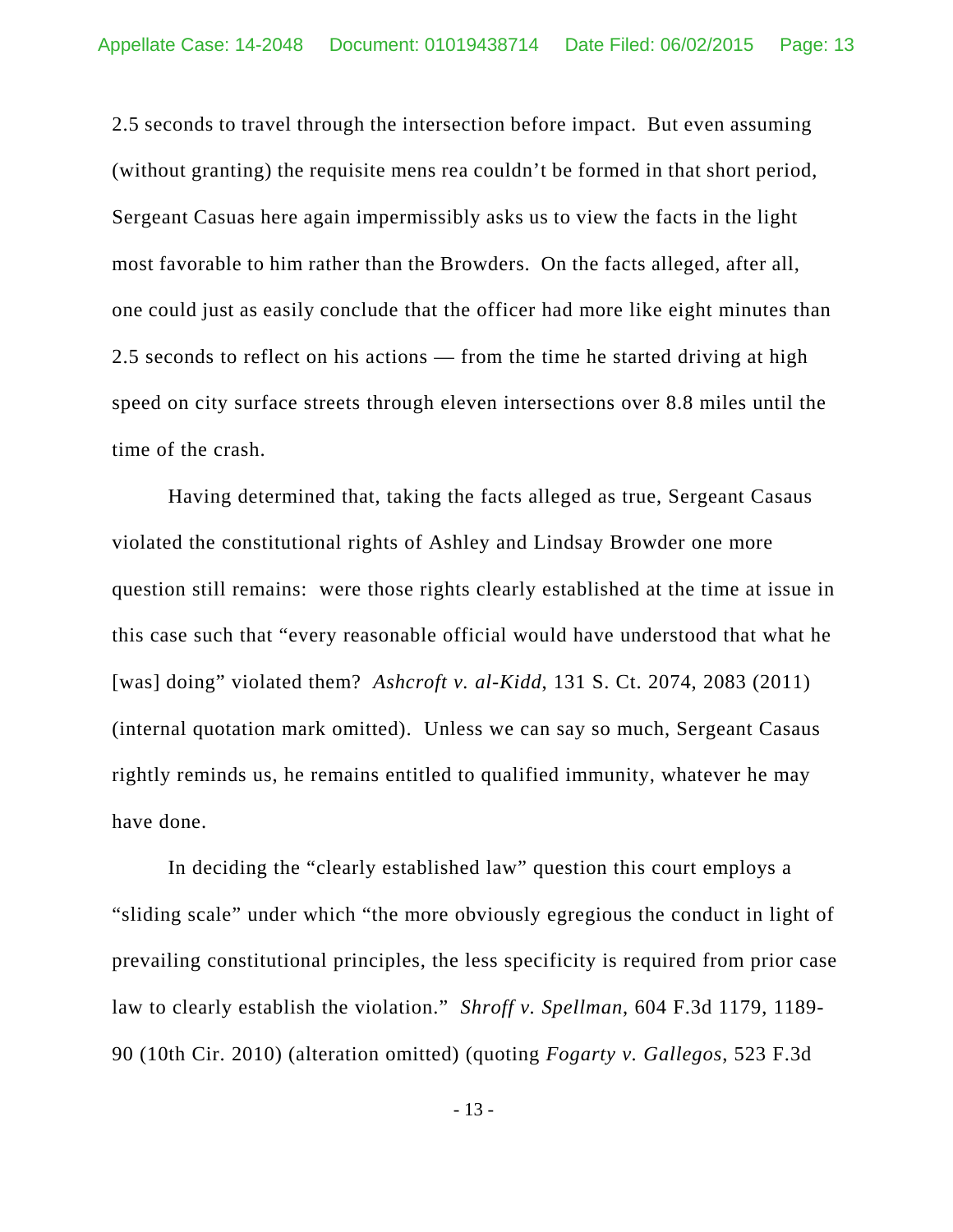2.5 seconds to travel through the intersection before impact. But even assuming (without granting) the requisite mens rea couldn't be formed in that short period, Sergeant Casuas here again impermissibly asks us to view the facts in the light most favorable to him rather than the Browders. On the facts alleged, after all, one could just as easily conclude that the officer had more like eight minutes than 2.5 seconds to reflect on his actions — from the time he started driving at high speed on city surface streets through eleven intersections over 8.8 miles until the time of the crash.

Having determined that, taking the facts alleged as true, Sergeant Casaus violated the constitutional rights of Ashley and Lindsay Browder one more question still remains: were those rights clearly established at the time at issue in this case such that "every reasonable official would have understood that what he [was] doing" violated them? *Ashcroft v. al-Kidd*, 131 S. Ct. 2074, 2083 (2011) (internal quotation mark omitted). Unless we can say so much, Sergeant Casaus rightly reminds us, he remains entitled to qualified immunity, whatever he may have done.

In deciding the "clearly established law" question this court employs a "sliding scale" under which "the more obviously egregious the conduct in light of prevailing constitutional principles, the less specificity is required from prior case law to clearly establish the violation." *Shroff v. Spellman*, 604 F.3d 1179, 1189- 90 (10th Cir. 2010) (alteration omitted) (quoting *Fogarty v. Gallegos*, 523 F.3d

- 13 -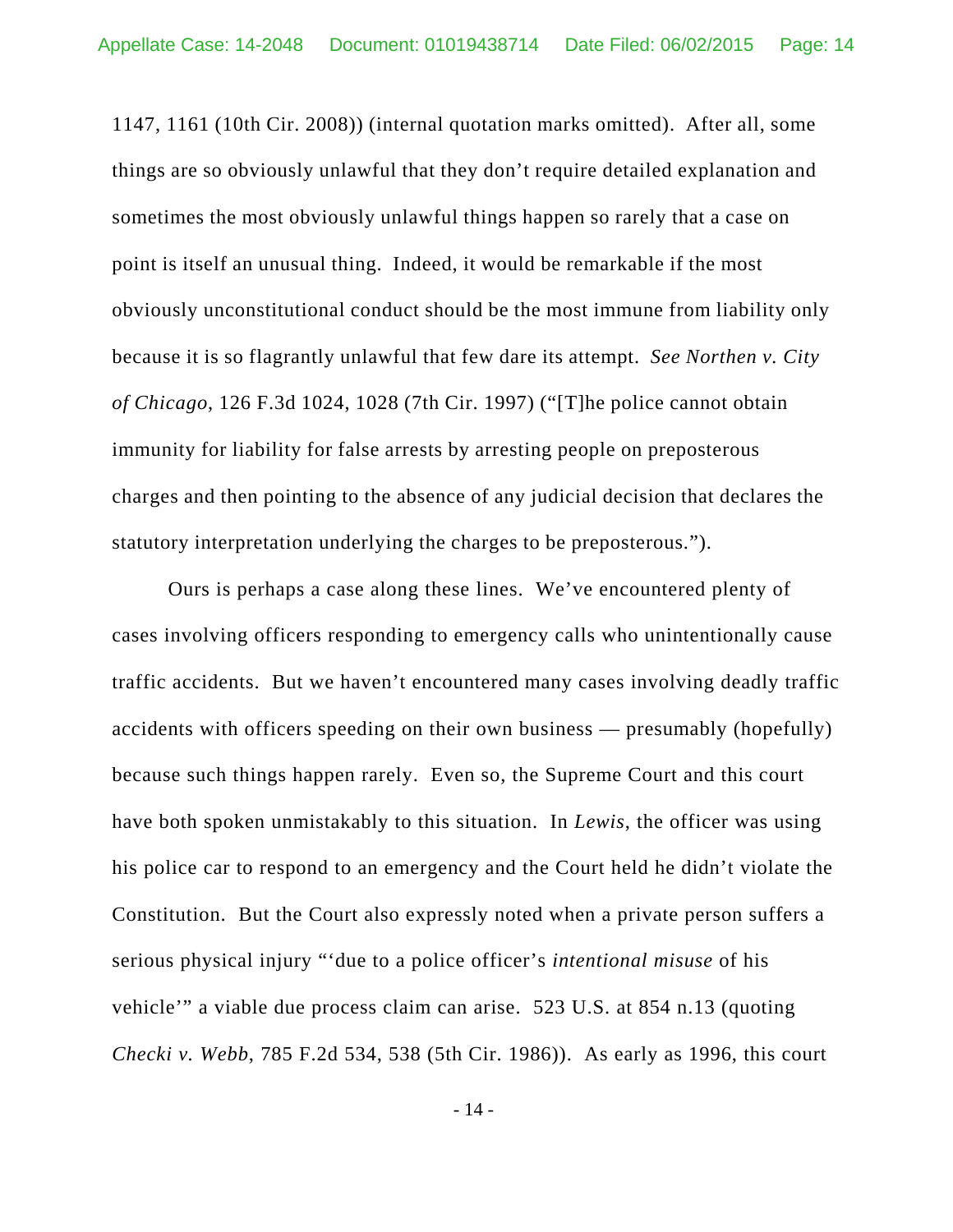1147, 1161 (10th Cir. 2008)) (internal quotation marks omitted). After all, some things are so obviously unlawful that they don't require detailed explanation and sometimes the most obviously unlawful things happen so rarely that a case on point is itself an unusual thing. Indeed, it would be remarkable if the most obviously unconstitutional conduct should be the most immune from liability only because it is so flagrantly unlawful that few dare its attempt. *See Northen v. City of Chicago*, 126 F.3d 1024, 1028 (7th Cir. 1997) ("[T]he police cannot obtain immunity for liability for false arrests by arresting people on preposterous charges and then pointing to the absence of any judicial decision that declares the statutory interpretation underlying the charges to be preposterous.").

Ours is perhaps a case along these lines. We've encountered plenty of cases involving officers responding to emergency calls who unintentionally cause traffic accidents. But we haven't encountered many cases involving deadly traffic accidents with officers speeding on their own business — presumably (hopefully) because such things happen rarely. Even so, the Supreme Court and this court have both spoken unmistakably to this situation. In *Lewis*, the officer was using his police car to respond to an emergency and the Court held he didn't violate the Constitution. But the Court also expressly noted when a private person suffers a serious physical injury "'due to a police officer's *intentional misuse* of his vehicle'" a viable due process claim can arise. 523 U.S. at 854 n.13 (quoting *Checki v. Webb*, 785 F.2d 534, 538 (5th Cir. 1986)). As early as 1996, this court

- 14 -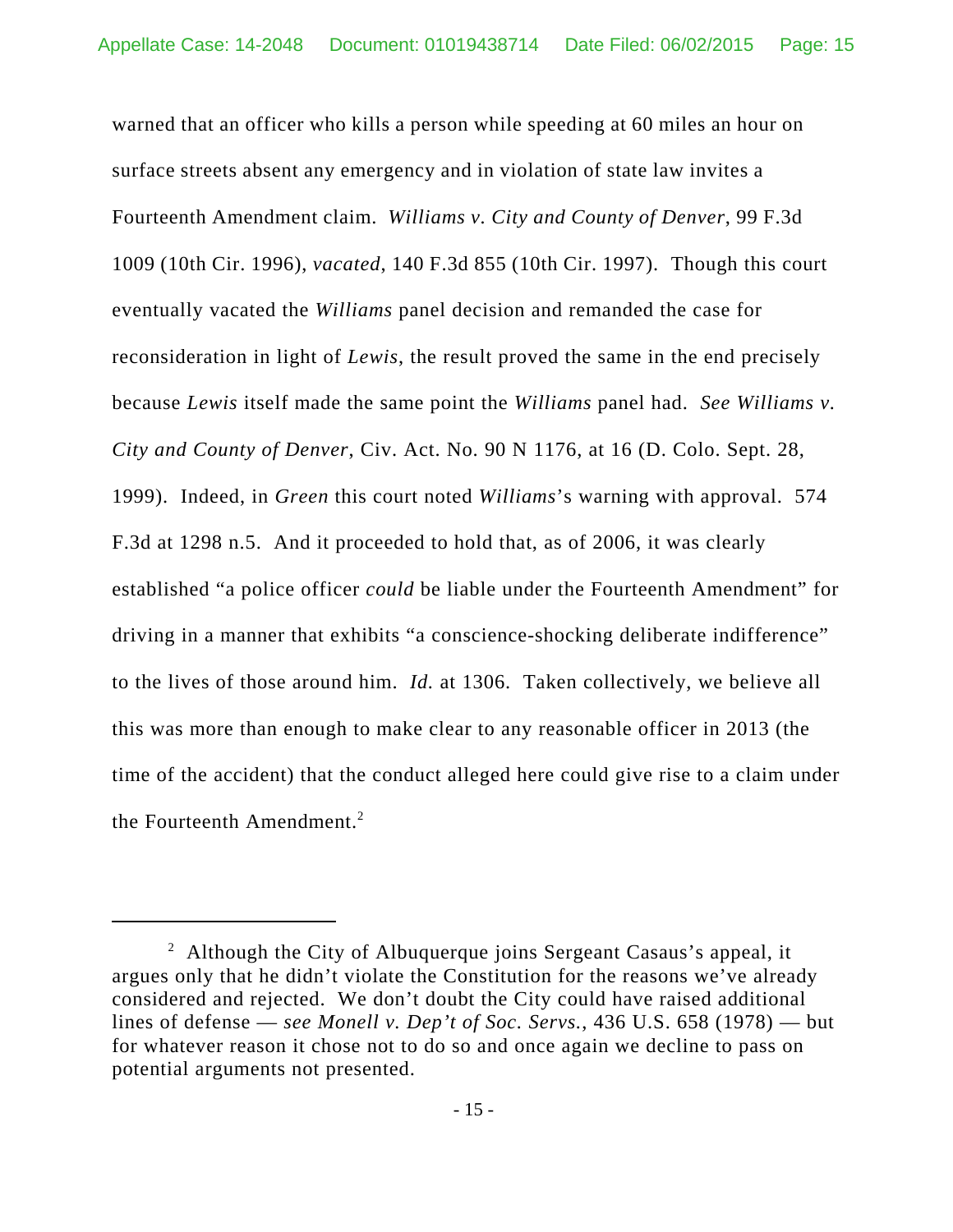warned that an officer who kills a person while speeding at 60 miles an hour on surface streets absent any emergency and in violation of state law invites a Fourteenth Amendment claim. *Williams v. City and County of Denver*, 99 F.3d 1009 (10th Cir. 1996), *vacated*, 140 F.3d 855 (10th Cir. 1997). Though this court eventually vacated the *Williams* panel decision and remanded the case for reconsideration in light of *Lewis*, the result proved the same in the end precisely because *Lewis* itself made the same point the *Williams* panel had. *See Williams v. City and County of Denver*, Civ. Act. No. 90 N 1176, at 16 (D. Colo. Sept. 28, 1999).Indeed, in *Green* this court noted *Williams*'s warning with approval. 574 F.3d at 1298 n.5. And it proceeded to hold that, as of 2006, it was clearly established "a police officer *could* be liable under the Fourteenth Amendment" for driving in a manner that exhibits "a conscience-shocking deliberate indifference" to the lives of those around him. *Id.* at 1306. Taken collectively, we believe all this was more than enough to make clear to any reasonable officer in 2013 (the time of the accident) that the conduct alleged here could give rise to a claim under the Fourteenth Amendment.<sup>2</sup>

<sup>&</sup>lt;sup>2</sup> Although the City of Albuquerque joins Sergeant Casaus's appeal, it argues only that he didn't violate the Constitution for the reasons we've already considered and rejected. We don't doubt the City could have raised additional lines of defense — *see Monell v. Dep't of Soc. Servs.*, 436 U.S. 658 (1978) — but for whatever reason it chose not to do so and once again we decline to pass on potential arguments not presented.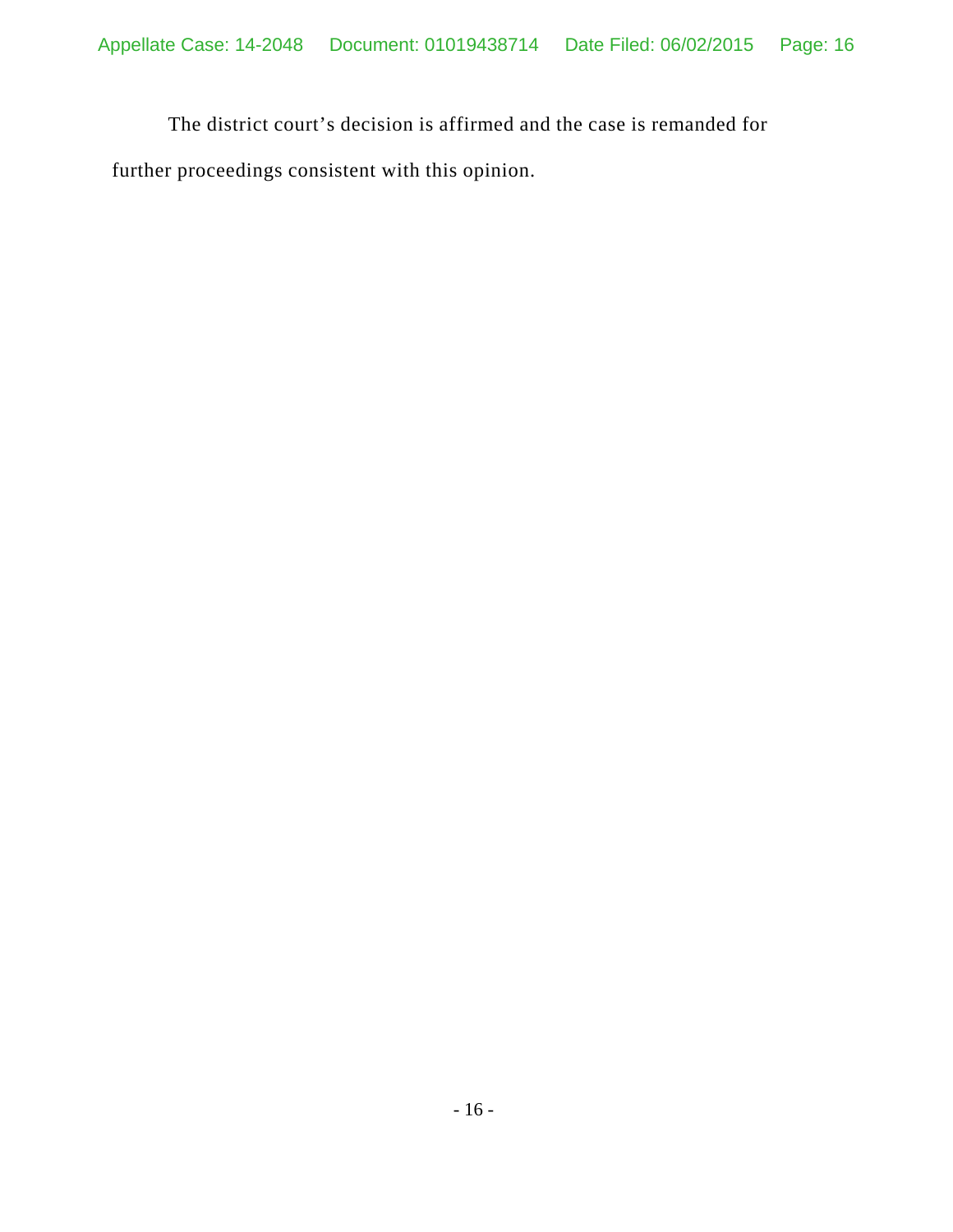The district court's decision is affirmed and the case is remanded for further proceedings consistent with this opinion.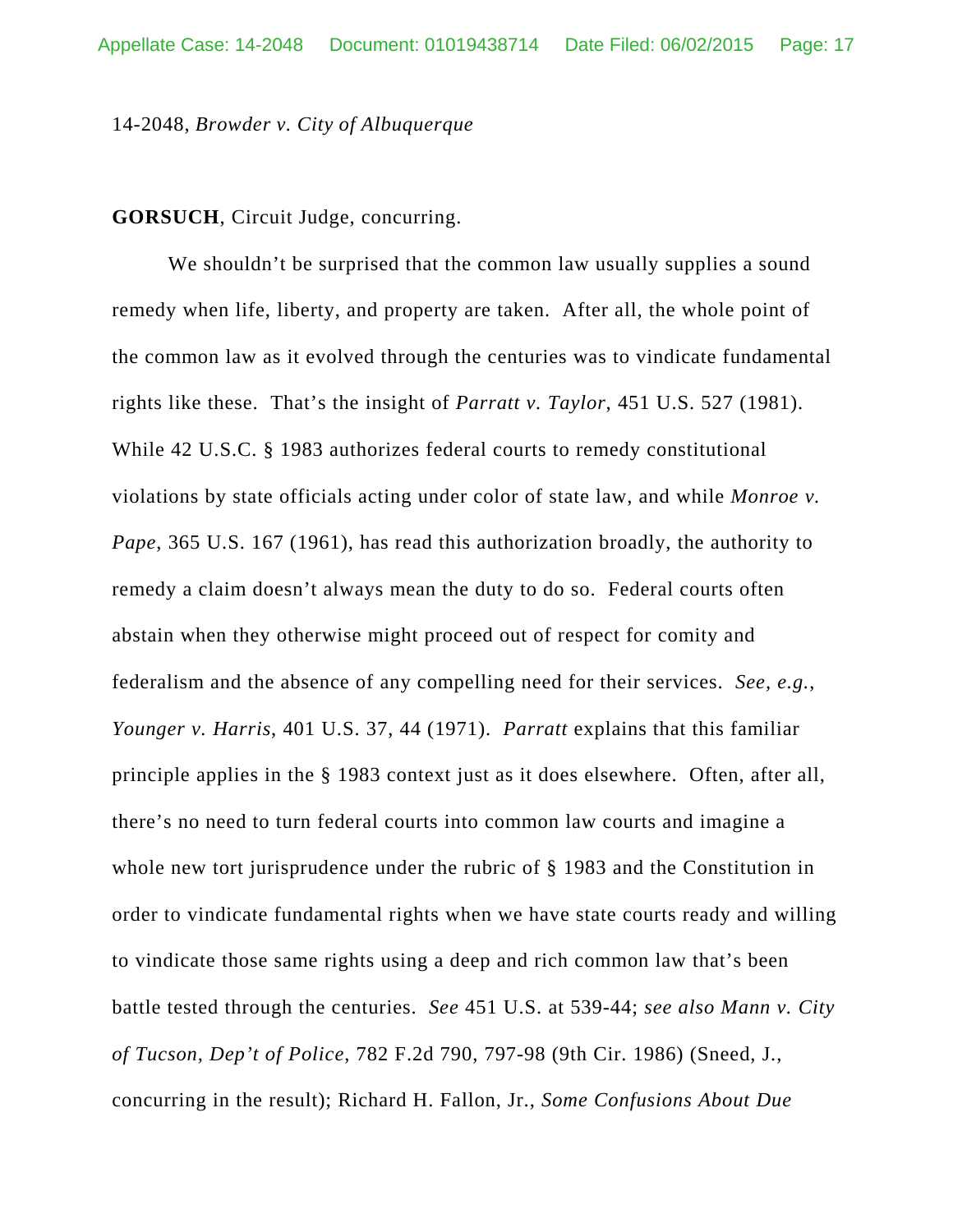#### 14-2048, *Browder v. City of Albuquerque*

#### **GORSUCH**, Circuit Judge, concurring.

We shouldn't be surprised that the common law usually supplies a sound remedy when life, liberty, and property are taken. After all, the whole point of the common law as it evolved through the centuries was to vindicate fundamental rights like these. That's the insight of *Parratt v. Taylor*, 451 U.S. 527 (1981). While 42 U.S.C. § 1983 authorizes federal courts to remedy constitutional violations by state officials acting under color of state law, and while *Monroe v. Pape*, 365 U.S. 167 (1961), has read this authorization broadly, the authority to remedy a claim doesn't always mean the duty to do so. Federal courts often abstain when they otherwise might proceed out of respect for comity and federalism and the absence of any compelling need for their services. *See, e.g.*, *Younger v. Harris*, 401 U.S. 37, 44 (1971). *Parratt* explains that this familiar principle applies in the § 1983 context just as it does elsewhere. Often, after all, there's no need to turn federal courts into common law courts and imagine a whole new tort jurisprudence under the rubric of § 1983 and the Constitution in order to vindicate fundamental rights when we have state courts ready and willing to vindicate those same rights using a deep and rich common law that's been battle tested through the centuries. *See* 451 U.S. at 539-44; *see also Mann v. City of Tucson, Dep't of Police*, 782 F.2d 790, 797-98 (9th Cir. 1986) (Sneed, J., concurring in the result); Richard H. Fallon, Jr., *Some Confusions About Due*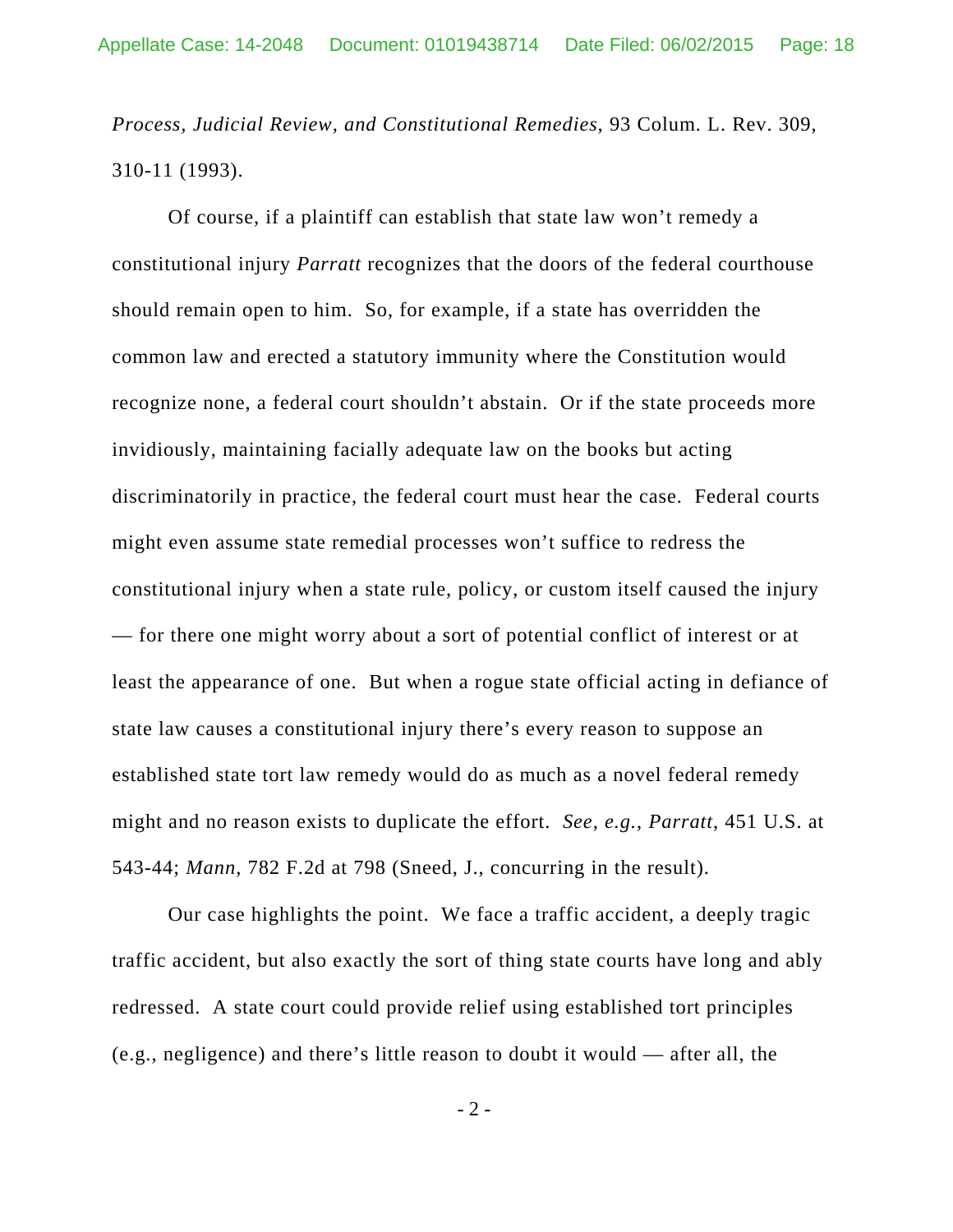*Process, Judicial Review, and Constitutional Remedies*, 93 Colum. L. Rev. 309, 310-11 (1993).

Of course, if a plaintiff can establish that state law won't remedy a constitutional injury *Parratt* recognizes that the doors of the federal courthouse should remain open to him. So, for example, if a state has overridden the common law and erected a statutory immunity where the Constitution would recognize none, a federal court shouldn't abstain. Or if the state proceeds more invidiously, maintaining facially adequate law on the books but acting discriminatorily in practice, the federal court must hear the case. Federal courts might even assume state remedial processes won't suffice to redress the constitutional injury when a state rule, policy, or custom itself caused the injury — for there one might worry about a sort of potential conflict of interest or at least the appearance of one. But when a rogue state official acting in defiance of state law causes a constitutional injury there's every reason to suppose an established state tort law remedy would do as much as a novel federal remedy might and no reason exists to duplicate the effort. *See, e.g.*, *Parratt*, 451 U.S. at 543-44; *Mann*, 782 F.2d at 798 (Sneed, J., concurring in the result).

Our case highlights the point. We face a traffic accident, a deeply tragic traffic accident, but also exactly the sort of thing state courts have long and ably redressed. A state court could provide relief using established tort principles (e.g., negligence) and there's little reason to doubt it would — after all, the

 $-2 -$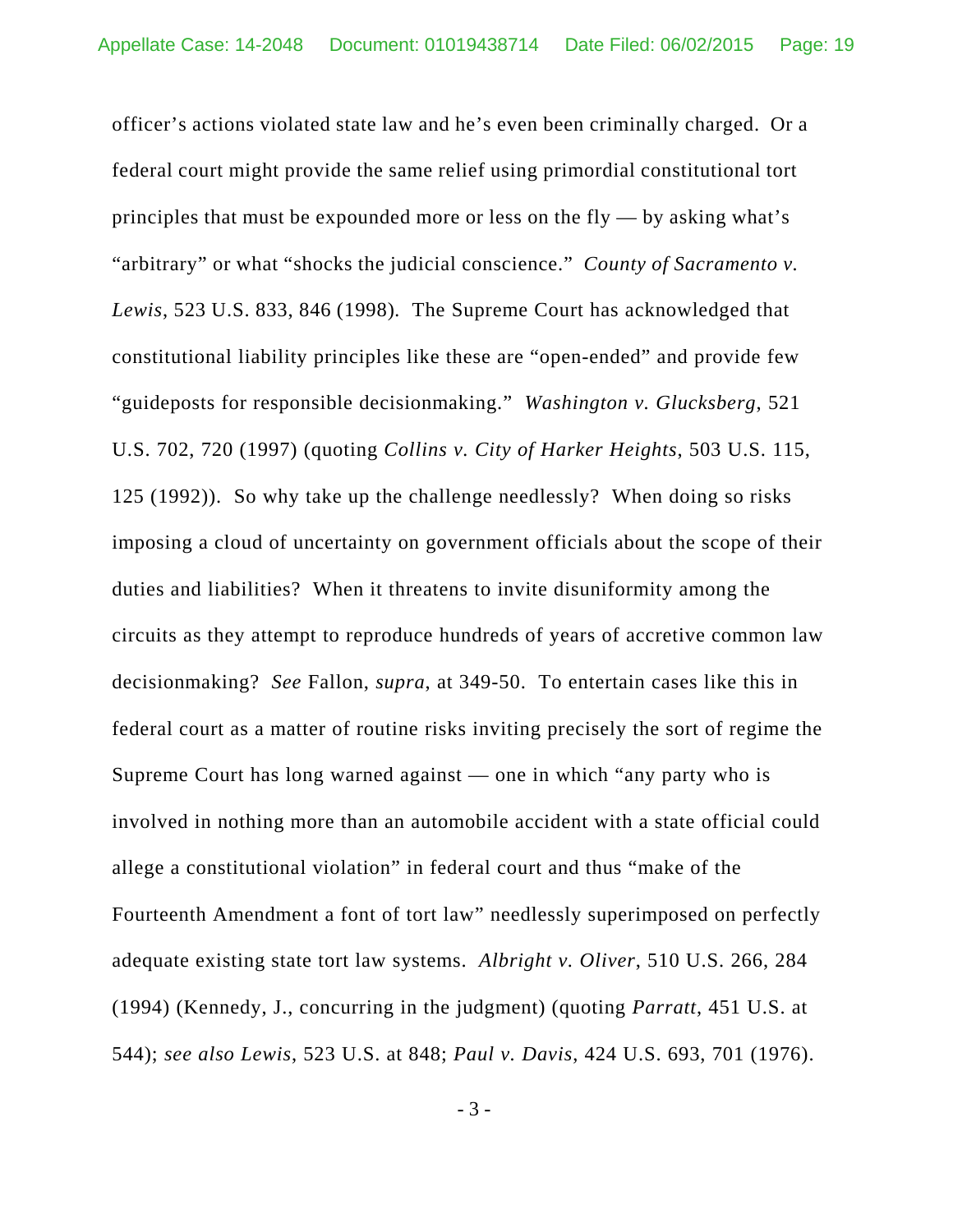officer's actions violated state law and he's even been criminally charged. Or a federal court might provide the same relief using primordial constitutional tort principles that must be expounded more or less on the  $fly - by$  asking what's "arbitrary" or what "shocks the judicial conscience." *County of Sacramento v. Lewis*, 523 U.S. 833, 846 (1998)*.* The Supreme Court has acknowledged that constitutional liability principles like these are "open-ended" and provide few "guideposts for responsible decisionmaking." *Washington v. Glucksberg*, 521 U.S. 702, 720 (1997) (quoting *Collins v. City of Harker Heights*, 503 U.S. 115, 125 (1992)). So why take up the challenge needlessly? When doing so risks imposing a cloud of uncertainty on government officials about the scope of their duties and liabilities? When it threatens to invite disuniformity among the circuits as they attempt to reproduce hundreds of years of accretive common law decisionmaking? *See* Fallon, *supra*, at 349-50. To entertain cases like this in federal court as a matter of routine risks inviting precisely the sort of regime the Supreme Court has long warned against — one in which "any party who is involved in nothing more than an automobile accident with a state official could allege a constitutional violation" in federal court and thus "make of the Fourteenth Amendment a font of tort law" needlessly superimposed on perfectly adequate existing state tort law systems. *Albright v. Oliver*, 510 U.S. 266, 284 (1994) (Kennedy, J., concurring in the judgment) (quoting *Parratt*, 451 U.S. at 544); *see also Lewis*, 523 U.S. at 848; *Paul v. Davis*, 424 U.S. 693, 701 (1976).

- 3 -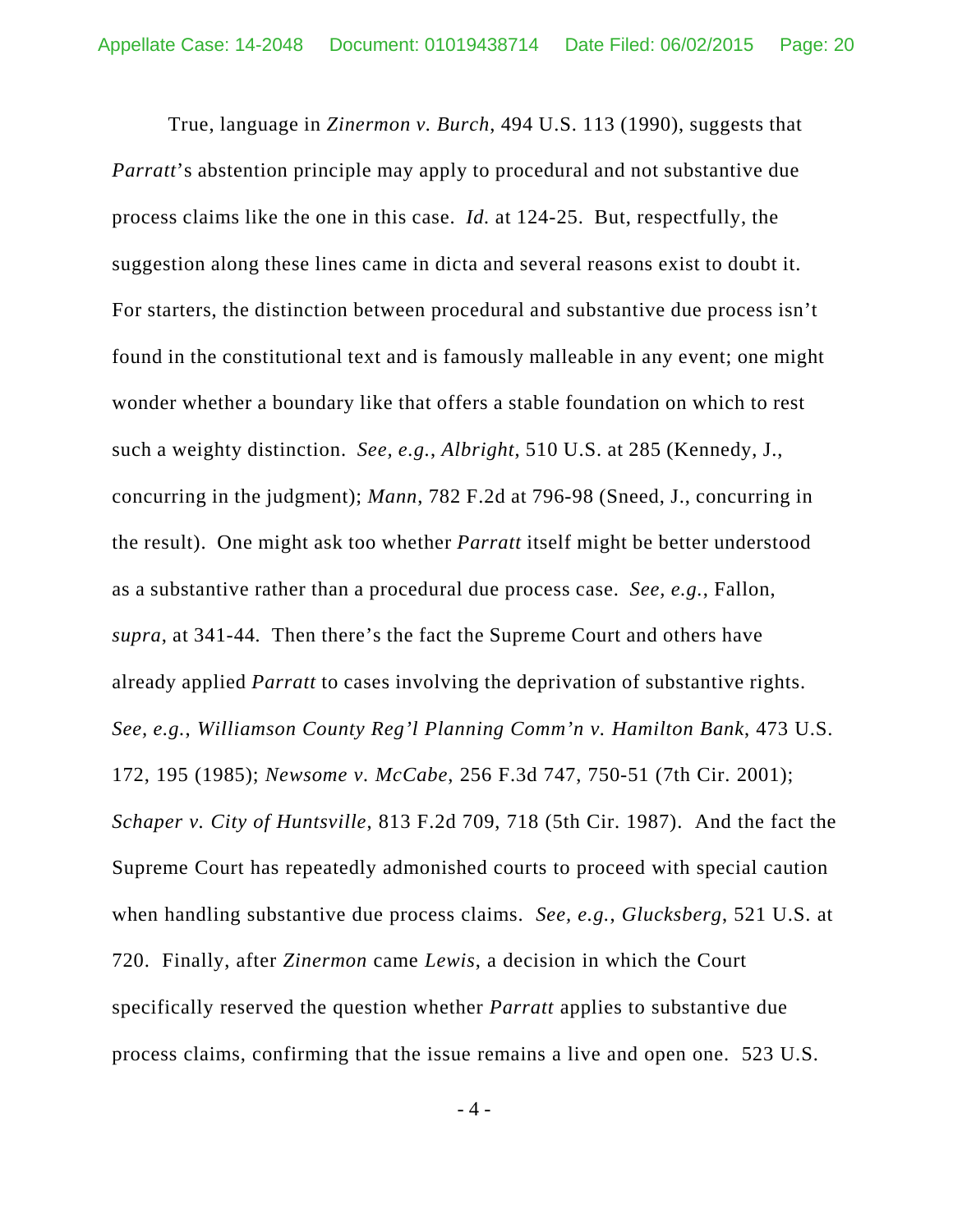True, language in *Zinermon v. Burch*, 494 U.S. 113 (1990), suggests that *Parratt*'s abstention principle may apply to procedural and not substantive due process claims like the one in this case. *Id.* at 124-25. But, respectfully, the suggestion along these lines came in dicta and several reasons exist to doubt it. For starters, the distinction between procedural and substantive due process isn't found in the constitutional text and is famously malleable in any event; one might wonder whether a boundary like that offers a stable foundation on which to rest such a weighty distinction. *See, e.g.*, *Albright*, 510 U.S. at 285 (Kennedy, J., concurring in the judgment); *Mann*, 782 F.2d at 796-98 (Sneed, J., concurring in the result). One might ask too whether *Parratt* itself might be better understood as a substantive rather than a procedural due process case. *See, e.g.*, Fallon, *supra*, at 341-44*.* Then there's the fact the Supreme Court and others have already applied *Parratt* to cases involving the deprivation of substantive rights. *See, e.g.*, *Williamson County Reg'l Planning Comm'n v. Hamilton Bank*, 473 U.S. 172, 195 (1985); *Newsome v. McCabe*, 256 F.3d 747, 750-51 (7th Cir. 2001); *Schaper v. City of Huntsville*, 813 F.2d 709, 718 (5th Cir. 1987). And the fact the Supreme Court has repeatedly admonished courts to proceed with special caution when handling substantive due process claims. *See, e.g.*, *Glucksberg*, 521 U.S. at 720. Finally, after *Zinermon* came *Lewis*, a decision in which the Court specifically reserved the question whether *Parratt* applies to substantive due process claims, confirming that the issue remains a live and open one. 523 U.S.